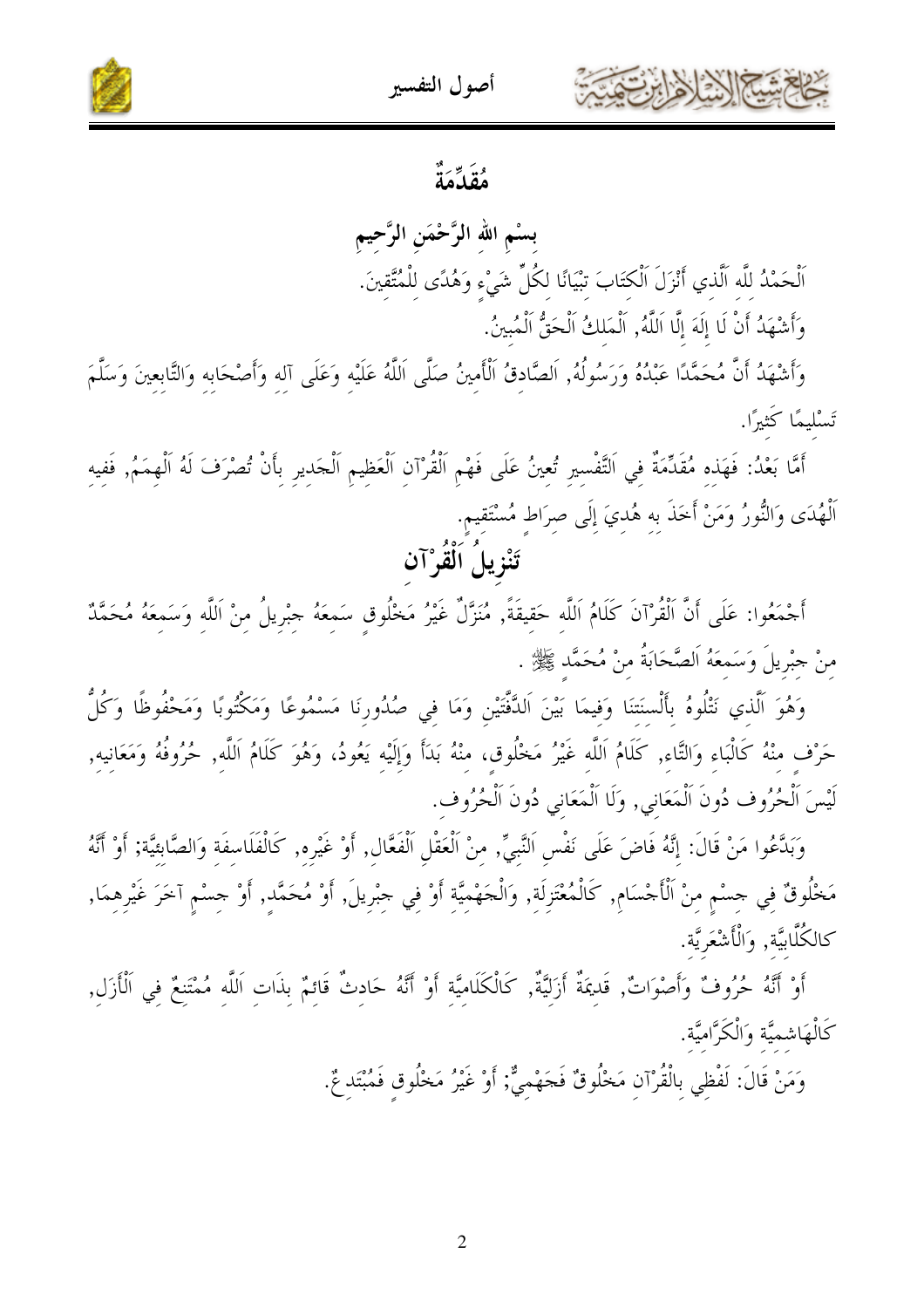



بسْم الله الرَّحْمَن الرَّحيم اَلْحَمْدُ للَّه اَلَّذي أَنْزَلَ اَلْكتَابَ تبْيَانًا لكُلِّ شَيْءٍ وَهُدًى لِلْمُتَّقِينَ. وَأَشْهَدُ أَنْ لَا إِلَهَ إِلَّا اَللَّهُ, اَلْمَلكُ اَلْحَقُّ اَلْمُبينُ.

 $|\mathcal{S}|\|\mathcal{K}$ 

وَأَشْهَدُ أَنَّ مُحَمَّدًا عَبْدُهُ وَرَسُولُهُ, اَلصَّادقُ اَلْأَمينُ صَلَّى اَللَّهُ عَلَيْه وَعَلَى آلِه وَأصْحَابِهِ وَالتَّابِعِينَ وَسَلَّمَ تَسْليمًا كَثيرًا.

أَمَّا بَعْدُ: فَهَذِهِ مُقَدِّمَةٌ فِي اَلتَّفْسِيرِ تُعِينُ عَلَى فَهْمِ اَلْقُرْآنِ اَلْعَظِيمِ اَلْحَدِيرِ بِأَنْ تُصْرَفَ لَهُ اَلْهِمَمُ, فَفِيهِ اَلْهُدَى وَالنُّورُ وَمَنْ أَخَذَ بِهِ هُدِيَ إِلَى صِرَاطٍ مُسْتَقِيمٍ. تَنْزِيلُ اَلْقُرْآن

أَجْمَعُوا: عَلَى أَنَّ اَلْقُرْآنَ كَلَامُ اَللَّه حَقيقَةً, مُنَزَّلٌ غَيْرُ مَخْلُوقِ سَمِعَهُ جِبْرِيلُ مِنْ اَللَّهِ وَسَمِعَهُ مُحَمَّدٌ منْ جبْريلَ وَسَمعَهُ اَلصَّحَابَةُ منْ مُحَمَّد ﷺ .

وَهُوَ اَلَّذي نَتْلُوهُ بأَلْسنَتنَا وَفيمَا بَيْنَ اَلدَّفَّتَيْنِ وَمَا في صُدُورنَا مَسْمُوعًا وَمَكْتُوبًا وَمَحْفُوظًا وَكُلُّ حَرْف منْهُ كَالْبَاء وَالتَّاء, كَلَامُ اَللَّه غَيْرُ مَخْلُوق، منْهُ بَدَأَ وَإِلَيْه يَعُودُ، وَهُوَ كَلَامُ اَللَّهِ, حُرُوفُهُ وَمَعَانِيهِ, لَيْسَ اَلْحُرُوف دُونَ اَلْمَعَاني, وَلَا اَلْمَعَاني دُونَ اَلْحُرُوف.

وَبَدَّعُوا مَنْ قَالَ: إِنَّهُ فَاضَ عَلَى نَفْسٍ النَّبِيِّ, مِنْ اَلْعَقْلِ اَلْفَعَّالِ, أَوْ غَيْرِهِ, كَالْفَلَاسِفَةِ وَالصَّابِئِيَّة; أَوْ أَنَّهُ مَخْلُوقٌ فِي جِسْمٍ مِنْ اَلْأَجْسَامِ, كَالْمُعْتَزِلَةِ, وَالْجَهْمِيَّةِ أَوْ فِي جِبْرِيلَ, أَوْ مُحَمَّدِ, أَوْ جِسْمِ آخَرَ غَيْرِهِمَا, كالكُلَّابِيَّة, وَالْأَشْعَرِيَّة.

أَوْ أَنَّهُ حُرُوفٌ وَأَصْوَاتٌ, قَديمَةٌ أَزَليَّةٌ, كَالْكَلَامِيَّةِ أَوْ أَنَّهُ حَادِثٌ قَائِمٌ بِذَاتِ اَللَّهِ مُمْتَنِعٌ فِي اَلْأَزَلِ, كَالْهَاشميَّة وَالْكَرَّاميَّة.

وَمَنْ قَالَ: لَفْظِي بِالْقُرْآنِ مَخْلُوقٌ فَجَهْمِيٌّ; أَوْ غَيْرُ مَخْلُوق فَمُبْتَد عٌ.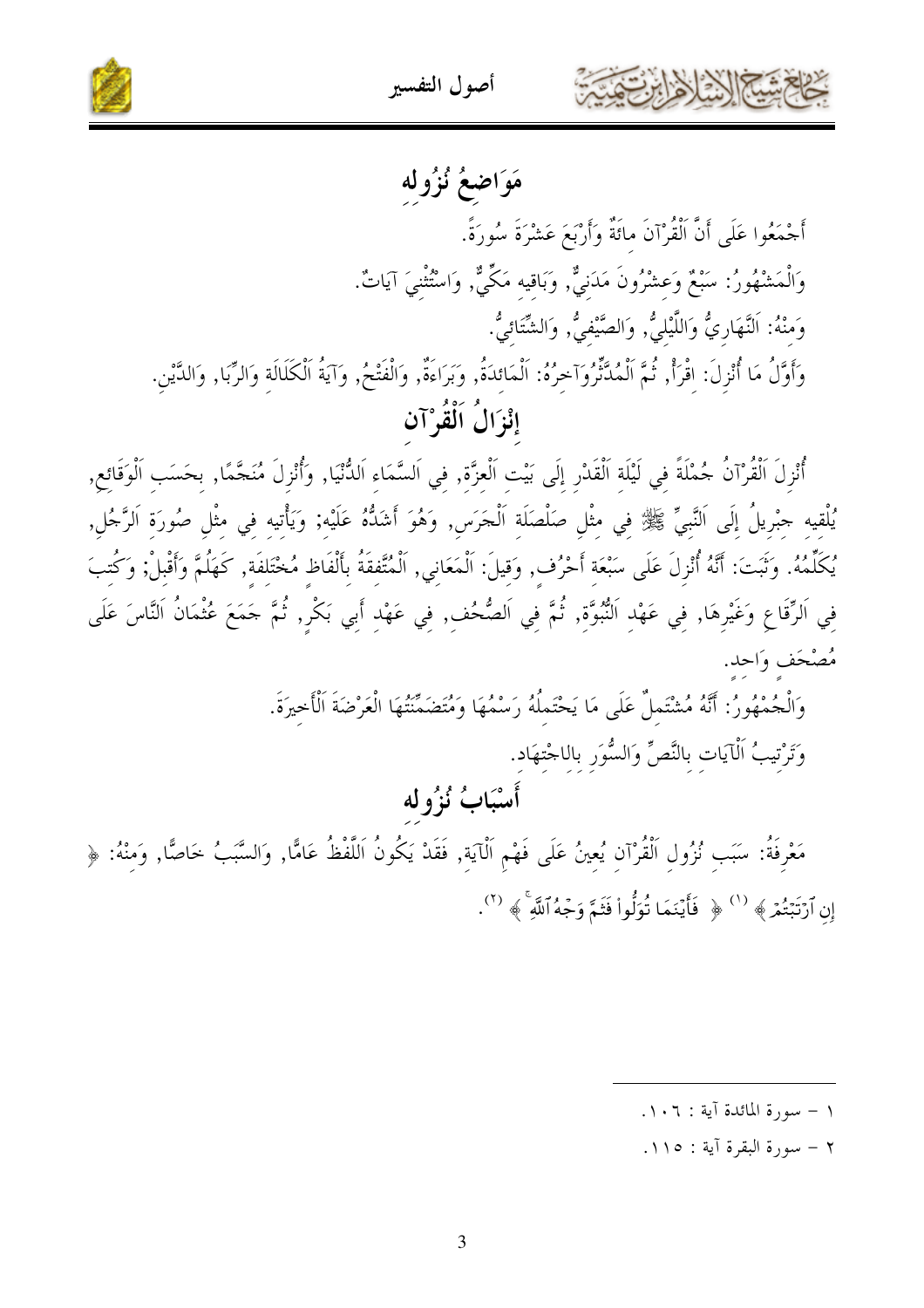





مَوَاضِعُ نُزُولُه

أَجْمَعُوا عَلَى أَنَّ اَلْقُرْآنَ مائَةٌ وَأَرْبَعَ عَشْرَةَ سُورَةً. وَالْمَشْهُورُ: سَبْعٌ وَعِشْرُونَ مَدَنيٌّ, وَبَاقيه مَكِّيٌّ, وَاسْتُثْنيَ آيَاتٌ. وَمنْهُ: اَلنَّهَارِيُّ وَاللَّيْلِيُّ, وَالصَّيْفيُّ, وَالشَّتَائيُّ. وَأَوَّلُ مَا أُنْزِلَ: اقْرَأْ, ثُمَّ اَلْمُدَّنِّرُوَآخِرُهُ: اَلْمَائِدَةُ, وَبَرَاءَةٌ, وَالْفَتْحُ, وَآيَةُ الْكَلَالَة وَالرِّبَا, وَالدَّيْن. إِنْزَالُ اَلْقُوْ آن

أُنْزِلَ اَلْقُرْآنُ جُمْلَةً في لَيْلَة اَلْقَدْرِ إِلَى بَيْت اَلْعِزَّة, في اَلسَّمَاءِ اَلدُّنْيَا, وَأُنْزِلَ مُنَجَّمًا, بِحَسَبِ اَلْوَقَائِعِ, يُلْقِيهِ جِبْرِيلُ إِلَى اَلنَّبِيِّ ﷺ فِي مِثْلِ صَلْصَلَةِ اَلْجَرَسِ, وَهُوَ أَشَدُّهُ عَلَيْهِ; وَيَأْتيه فِي مِثْلِ صُورَةِ اَلرَّجُلِ, يُكَلِّمُهُ. وَتَبَتَ: أَنَّهُ أُنْزِلَ عَلَى سَبْعَةِ أَحْرُفٍ, وَقِيلَ: اَلْمَعَانِي, اَلْمُتَّفقَةُ بأَلْفَاظ مُخْتَلفَة, كَهَلُمَّ وَأَقْبِلْ; وَكُتبَ فِي اَلرِّقَاعِ وَغَيْرِهَا, فِي عَهْدِ اَلنُّبُوَّةِ, ثُمَّ فِي اَلصُّحُفِ, فِي عَهْدِ أَبِي بَكْرِ, ثُمَّ حَمَعَ عُثْمَانُ اَلنَّاسَ عَلَى مُصْحَف وَاحد.

> وَالْجُمْهُورُ: أَنَّهُ مُشْتَملٌ عَلَى مَا يَحْتَملُهُ رَسْمُهَا وَمُتَضَمِّنَتُهَا الْعَرْضَةَ اَلْأخيرَةَ. وَتَرْتيبُ اَلْآيَات بالنَّصِّ وَالسُّوَر باللجْتهَاد. أَسْبَابُ نُزُوله

مَعْرِفَةُ: سَبَب نُزُول اَلْقُرْآن يُعينُ عَلَى فَهْم اَلْآيَة, فَقَدْ يَكُونُ اَللَّفْظُ عَامًّا, وَالسَّبَبُ خَاصًّا, وَمنْهُ: ﴿ إِن ٱرْتَبْتُمْ ﴾ <sup>(١)</sup> ﴿ فَأَيْنَمَا تُوَلُّواْ فَثَمَّ وَجْهُ ٱللَّهِ ﴾ <sup>(٢)</sup>.

- ١ سورة المائدة آية : ١٠٦.
- ٢ سورة البقرة آية : ١١٥.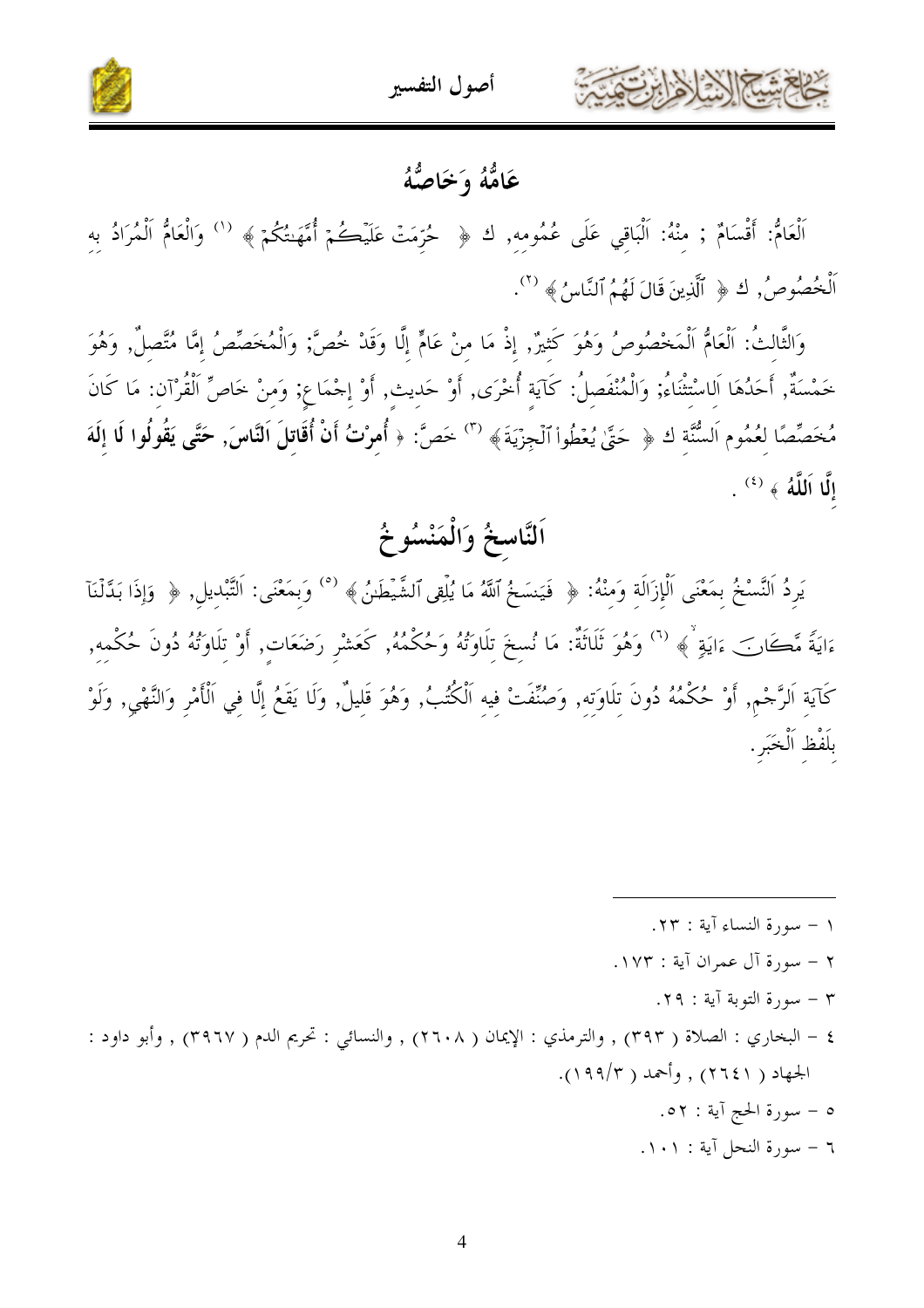



### عَامُّهُ وَخَاصُّهُ

اَلْعَامٌ: أَقْسَامٌ ; مِنْهُ: اَلْبَاقِي عَلَى عُمُومِهِ, ك ﴿ حُرِّمَتْ عَلَيْكُمْ أُمَّهَنتُكُمْ ﴾ ('' وَالْعَامُّ اَلْمُرَادُ بِهِ اَلْخُصُوصُ, كَ ﴿ ٱلَّذِينَ قَالَ لَهُمُ ٱلنَّاسُ ﴾ ( ``).

وَالثَّالِثُ: اَلْعَامُ اَلْمَخْصُوصُ وَهُوَ كَثِيرٌ, إِذْ مَا مِنْ عَامٍّ إِلَّا وَقَدْ خُصَّ; وَالْمُخَصِّصُ إِمَّا مُتَّصلٌ, وَهُوَ خَمْسَةٌ, أَحَدُهَا اَلِاسْتِثْنَاءُ; وَالْمُنْفَصِلُ: كَآيَةِ أُخْرَى, أَوْ حَدِيثٍ, أَوْ إِحْمَاعِ; وَمِنْ خَاصِّ الْقُرْآنِ: مَا كَانَ مُخَصِّصًا لعُمُوم اَلسُّنَّةِ ك ﴿ حَتَّىٰ يُعْطُواْ ٱلْجِزْيَةَ﴾ <sup>(٣)</sup> خَصَّ: ﴿ أُمِرْتُ أَنْ أُقَاتِلَ اَلنَّاسَ, حَتَّى يَقُولُوا لَا إِلَهَ  $\, \, . \, \,^{(2)}$  إِلَّا اَللَّهُ ﴾  $\,$ 

# اَلنَّاسخُ وَالْمَنْسُوخُ

يَرِدُ اَلنَّسْخُ بِمَعْنَى اَلْإِزَالَةِ وَمِنْهُ: ﴿ فَيَنسَخُ ٱللَّهُ مَا يُلْقِى ٱلشَّيْطَيْنُ ﴾ (°) وَبِمَعْنَى: اَلتَّبْدِيلِ, ﴿ وَإِذَا بَدَّلْنَآ ءَايَةً مَّكَانَ ءَايَةٍ ۚ ﴾ <sup>(٦)</sup> وَهُوَ ثَلَاثَةٌ: مَا نُسِخَ تِلَاوَتُهُ وَحُكْمُهُ, كَعَشْرِ رَضَعَاتِ, أَوْ تِلَاوَتُهُ دُونَ حُكْمِهِ, كَآيَةِ اَلرَّحْمِ, أَوْ حُكْمُهُ دُونَ تِلَاوَتِهِ, وَصُنِّفَتْ فِيهِ اَلْكُتُبُ, وَهُوَ قَليلٌ, وَلَا يَقَعُ إلَّا في اَلْأَمْرِ وَالنَّهْي, وَلَوْ بِلَفْظِ اَلْخَبَرِ.

- $\cdot$  ( سورة النساء آية : ٢٣.
- ٢ سورة آل عمران آية : ١٧٣.
	- ٣ سورة التوبة آية : ٢٩.
- ٤ البخاري : الصلاة ( ٣٩٣) , والترمذي : الإيمان ( ٢٦٠٨) , والنسائي : تحريم الدم ( ٣٩٦٧) , وأبو داود : الجهاد ( ۲۱٤۱) , وأحمد ( ۱۹۹/۳).
	- ٥ سورة الحج آية : ٥٢.
	- ٦ سورة النحل آية : ١٠١.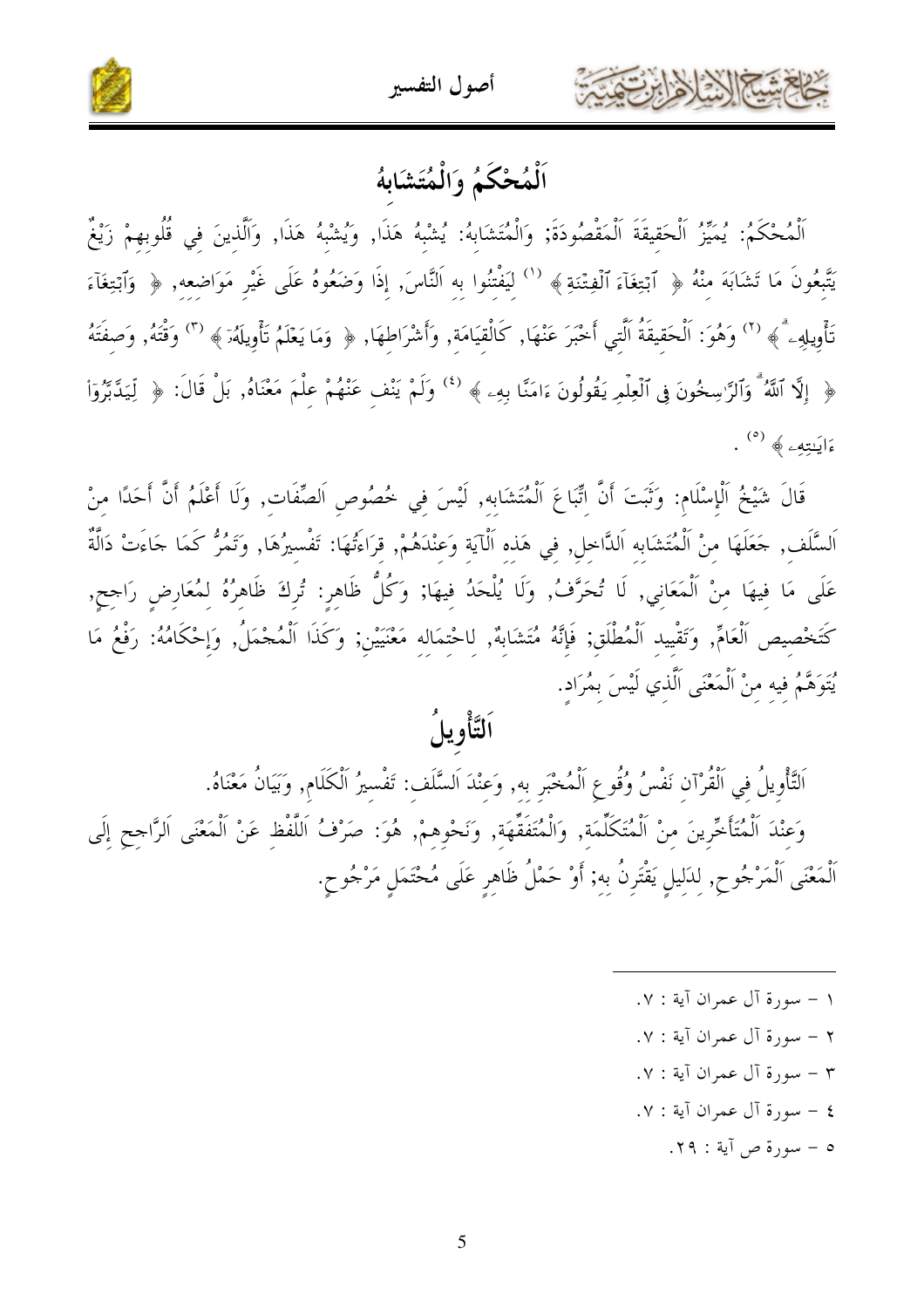



### اَلْمُحْكَمُ وَالْمُتَشَابِهُ

ٱلْمُحْكَمُ: يُمَيِّرُ ٱلْحَقيقَةَ ٱلْمَقْصُودَةَ; وَالْمُتَشَابِهُ: يُشْبِهُ هَذَا, وَيُشْبِهُ هَذَا, وَٱلَّذِينَ فِي قُلُوبِهِمْ زَيْغٌ يَتَّبِعُونَ مَا تَشَابَهَ مِنْهُ ﴿ ٱبۡتِغَآءَ ٱلۡفِتۡنَةِ ﴾  $^{(1)}$  لِيَفْتِنُوا بِهِ اَلنَّاسَ, إِذَا وَضَعُوهُ عَلَى غَيْرِ مَوَاضِعِهِ, ﴿ وَٱبۡتِغَآءَ تَأْوِيلِهِۦ ۗ﴾ (`') وَهُوَ: اَلْحَقِيقَةُ اَلَّتِي أَخْبَرَ عَنْهَا, كَالْقِيَامَةِ, وَأَشْرَاطِهَا, ﴿ وَمَا يَعْلَمُ تَأْوِيلَهُۥٓ ﴾ (") وَقْتُهُ, وَصِفَتَهُ ﴿ إِلَّا ٱللَّهُ ۚ وَٱلرَّاسِخُونَ فِى ٱلۡعِلۡمِ يَقُولُونَ ءَامَنَّا بِهِۦ ﴾ (<sup>٤)</sup> وَلَمْ يَنْف عَنْهُمْ عِلْمَ مَعْنَاهُ, بَلْ قَالَ: ﴿ لِّيَدَّبَّرُوٓاْ ءَايَنتِهِۦ ﴾ (°) .

قَالَ شَيْخُ ٱلْإِسْلَامِ: وَثَبَتَ أَنَّ اتِّبَاعَ ٱلْمُتَشَابِهِ, لَيْسَ فِي خُصُوصِ اَلصِّفَات, وَلَا أَعْلَمُ أَنَّ أَحَدًا منْ اَلسَّلَف , حَعَلَهَا مِنْ اَلْمُتَشَابِهِ اَلدَّاخِلِ, فِي هَذِهِ اَلْآيَةِ وَعِنْدَهُمْ, قراءَتُهَا: تَفْسيرُهَا, وَتَمُرُّ كَمَا حَاءَتْ دَالَّةٌ عَلَى مَا فِيهَا مِنْ اَلْمَعَانِي, لَا تُحَرَّفُ, وَلَا يُلْحَدُ فِيهَا; وَكُلُّ ظَاهِرٍ: تُرِكَ ظَاهِرُهُ لِمُعَارِضٍ رَاجِحٍ, كَتَخْصِيص الْعَامِّ, وَتَقْيِيدِ اَلْمُطْلَقِ; فَإِنَّهُ مُتَشَابِهٌ, لِاحْتِمَالِهِ مَعْنَيَيْنِ; وَكَذَا اَلْمُجْمَلُ, وَإِحْكَامُهُ: رَفْعُ مَا يُتَوَهَّمُ فِيهِ مِنْ اَلْمَعْنَى اَلَّذِي لَيْسَ بِمُرَادٍ.

# ٱلتَّأْوِيلُ

اَلتَّأْوِيلُ في اَلْقُرْآن نَفْسُ وُقُوعِ اَلْمُخْبَر به, وَعنْدَ اَلسَّلَف: تَفْسيرُ اَلْكَلَام, وَبَيَانُ مَعْنَاهُ. وَعِنْدَ اَلْمُتَأَخِّرِينَ مِنْ اَلْمُتَكَلِّمَةٍ, وَالْمُتَفَقِّهَةٍ, وَنَحْوِهِمْ, هُوَ: صَرْفُ اَللَّفْظِ عَنْ اَلْمَعْنَى اَلرَّاجِحِ إِلَى ٱلْمَعْنَى ٱلْمَرْجُوحِ, لِلْإِلِيلِ يَقْتَرِنُ بِهِ; أَوْ حَمْلُ ظَاهِرِ عَلَى مُحْتَمَلٍ مَرْجُوحٍ.

> ١ – سورة آل عمران آية : ٧. ٢ - سورة آل عمران آية : ٧. ٣ - سورة آل عمران آية : ٧. ٤ – سورة آل عمران آية : ٧. ٥ - سورة ص آية : ٢٩.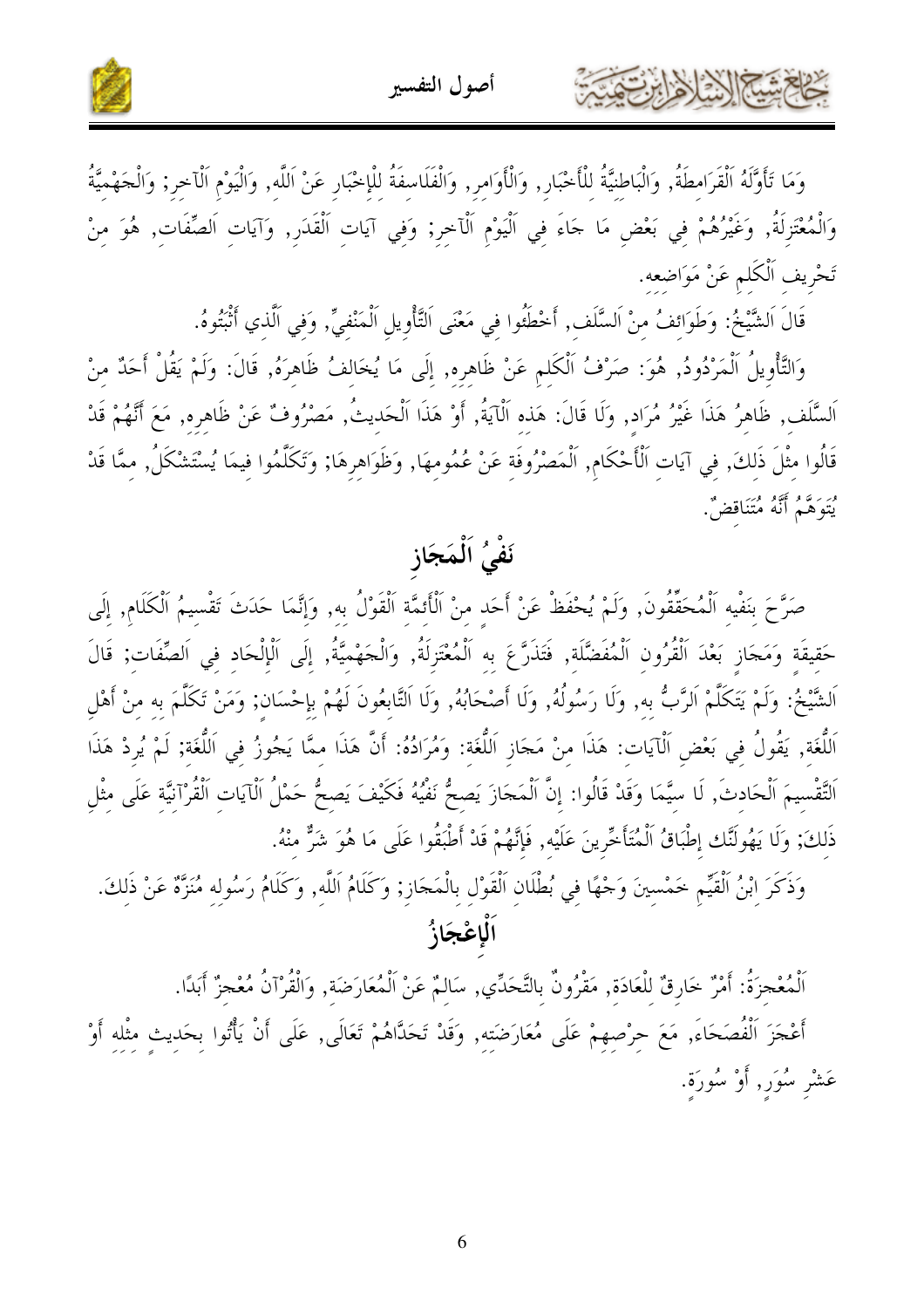

وَمَا تَأَوَّلَهُ اَلْقَرَامِطَةُ, وَالْبَاطِنِيَّةُ لِلْأَخْبَارِ, وَالْأَوَامِرِ, وَالْفَلَاسِفَةُ لِلْإِخْبَارِ عَنْ اَللَّهِ, وَالْيَوْمِ اَلْآخِرِ; وَالْجَهْمِيَّةُ وَالْمُعْتَزِلَةُ, وَغَيْرُهُمْ فِي بَعْضِ مَا جَاءَ فِي اَلْيَوْمِ اَلْآخِرِ; وَفِي آيَاتِ اَلْقَدَرِ, وَآيَاتِ اَلصِّفَاتِ, هُوَ مِنْ تَحْرِيف اَلْكَلم عَنْ مَوَاضعه.

قَالَ اَلشَّيْخُ: وَطَوَائِفُ مِنْ اَلسَّلَف ۚ أَحْطَئُوا فِي مَعْنَى اَلتَّأْوِيلِ اَلْمَنْفِيِّ ۚ وَفِي اَلْذي أَنْبتُوهُ.

كالحشيم الشاهايرتعت

وَالتَّأْوِيلُ اَلْمَرْدُودُ, هُوَ: صَرْفُ اَلْكَلِم عَنْ ظَاهِرِه, إِلَى مَا يُخَالِفُ ظَاهِرَهُ, قَالَ: وَلَمْ يَقُلْ أَحَدٌ مِنْ اَلسَّلَف, ظَاهرُ هَذَا غَيْرُ مُرَاد, وَلَا قَالَ: هَذه اَلْآيَةُ, أَوْ هَذَا اَلْحَديتُ, مَصْرُوفٌ عَنْ ظَاهره, مَعَ أَنَّهُمْ قَدْ قَالُوا مِثْلَ ذَلِكَ, فِي آيَاتِ اَلْأَحْكَام, اَلْمَصْرُوفَةِ عَنْ عُمُومِهَا, وَظَوَاهِرِهَا; وَتَكَلَّمُوا فِيمَا يُسْتَشْكَلُ, مِمَّا قَدْ يْتَوَهَّمُ أَنَّهُ مُتَنَاقضٌ.

## نَفْيُ اَلْمَجَاز

صَرَّحَ بنَفْيه اَلْمُحَقَّقُونَ, وَلَمْ يُحْفَظْ عَنْ أَحَد منْ اَلْأَئِمَّة اَلْقَوْلُ به, وَإِنَّمَا حَدَثَ تَقْسِيمُ اَلْكَلَام, إِلَى حَقيقَة وَمَحَازِ بَعْدَ اَلْقُرُونِ اَلْمُفَضَّلَة, فَتَذَرَّعَ بِهِ اَلْمُعْتَزِلَةُ, وَالْحَهْمِيَّةُ, إِلَى اَلْإِلْحَادِ فِي اَلصِّفَاتٍ; قَالَ اَلشَّيْخُ: وَلَمْ يَتَكَلَّمْ اَلرَّبُّ به, وَلَا رَسُولُهُ, وَلَا أَصْحَابُهُ, وَلَا اَلتَّابِعُونَ لَهُمْ بإحْسَان; وَمَنْ تَكَلَّمَ به منْ أَهْل اَللَّغَةِ, يَقُولُ فِي بَعْضِ اَلْآيَات: هَذَا مِنْ مَجَازِ اَللَّغَة: وَمُرَادُهُ: أَنَّ هَذَا ممَّا يَجُوزُ في اَللَّغَة; لَمْ يُردْ هَذَا اَلتَّقْسِيمَ اَلْحَادِثَ, لَا سِيَّمَا وَقَدْ قَالُوا: إِنَّ اَلْمَجَازَ يَصِحُّ نَفْيُهُ فَكَيْفَ يَصِحُّ حَمْلُ اَلْآيَاتِ اَلْقُرْآنِيَّةِ عَلَى مِثْلِ ذَلِكَ; وَلَا يَهُولَنَّك إِطْبَاقُ اَلْمُتَأَخِّرِينَ عَلَيْهِ, فَإِنَّهُمْ قَدْ أَطْبَقُوا عَلَى مَا هُوَ شَرٌّ منْهُ.

وَذَكَرَ ابْنُ اَلْقَيِّم خَمْسِينَ وَجْهًا فِي بُطْلَانِ اَلْقَوْلِ بِالْمَجَازِ; وَكَلَامُ اَللَّهِ, وَكَلَامُ رَسُولِهِ مُنَزَّةٌ عَنْ ذَلِكَ. ٱلْإِعْجَازُ

اَلْمُعْجزَةُ: أَمْرٌ خَارِقٌ للْعَادَة, مَقْرُونٌ بالتَّحَدِّي, سَالمٌ عَنْ اَلْمُعَارَضَة, وَالْقُرْآنُ مُعْجزٌ أَبدًا. أَعْجَزَ اَلْفُصَحَاءَ, مَعَ حِرْصِهِمْ عَلَى مُعَارَضَتِهِ, وَقَدْ تَحَدَّاهُمْ تَعَالَى, عَلَى أَنْ يَأْتُوا بحَديث مثْله أَوْ عَشْرِ سُوَر, أَوْ سُورَة.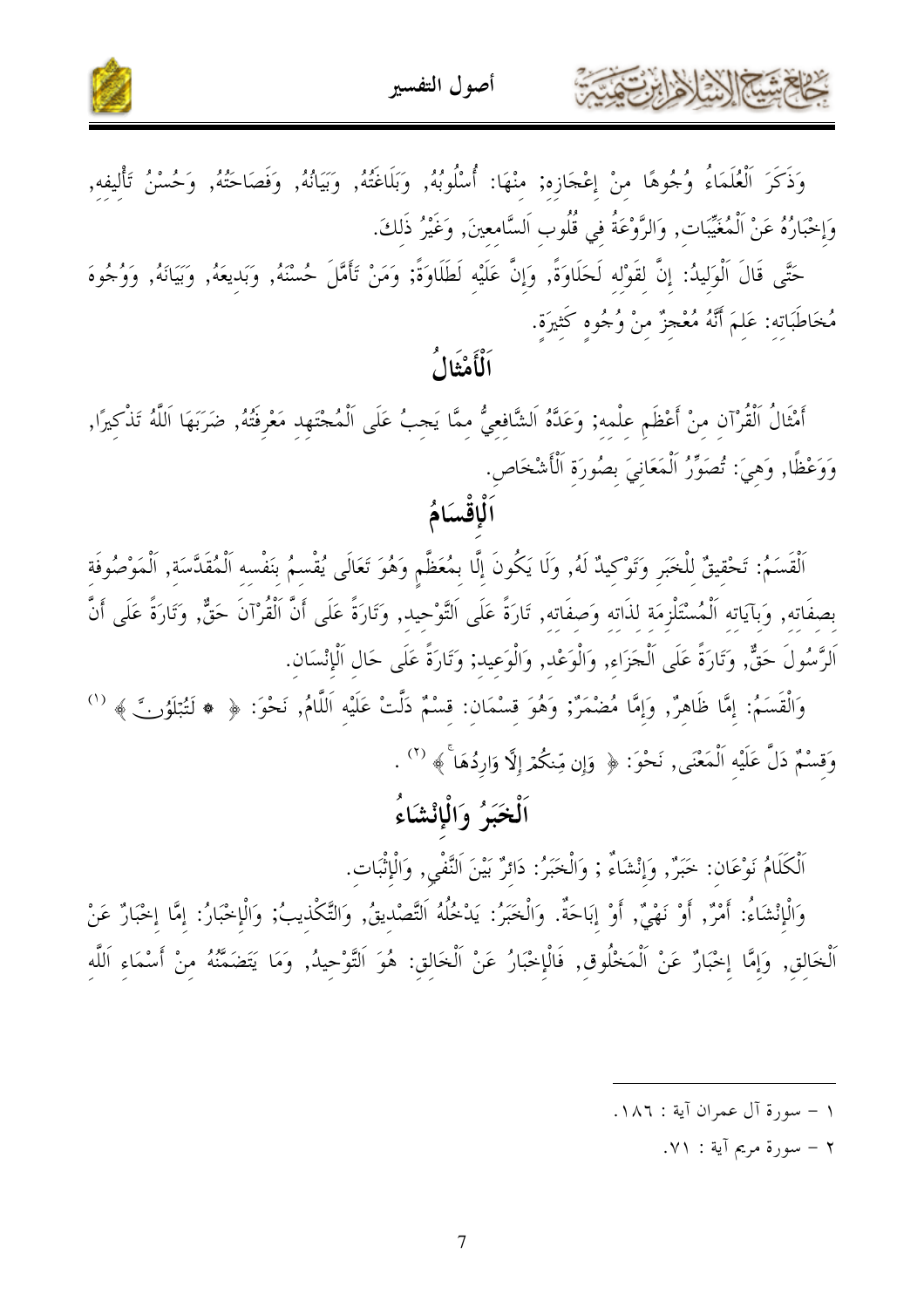



وَذَكَرَ ٱلْعُلَمَاءُ وُجُوهًا مِنْ إعْجَازِه; مِنْهَا: أُسْلُوبُهُ, وَبَلَاغَتُهُ, وَبَيَانُهُ, وَفَصَاحَتُهُ, وَحُسْنُ تَأْليفه, وَإِخْبَارُهُ عَنْ اَلْمُغَيِّبَات, وَالرَّوْعَةُ في قُلُوب اَلسَّامعينَ, وَغَيْرُ ذَلكَ.

حَتَّى قَالَ اَلْوَليدُ: إنَّ لقَوْله لَحَلَاوَةً, وَإِنَّ عَلَيْه لَطَلَاوَةً; وَمَنْ تَأَمَّلَ حُسْنَهُ, وَبَديعَهُ, وَبَيَانَهُ, وَوُجُوهَ مُخَاطَبَاتِهِ: عَلِمَ أَنَّهُ مُعْجزٌ مِنْ وُجُوهِ كَثِيرَةٍ.

ٱلْأَمْثَالُ

أَمْثَالُ اَلْقُرْآنِ مِنْ أَعْظَمِ عِلْمِهِ; وَعَدَّهُ اَلشَّافعيُّ ممَّا يَجبُ عَلَى اَلْمُجْتَهِد مَعْرفَتُهُ, ضَرَبَهَا اَللَّهُ تَذْكيرًا, وَوَعْظًا, وَهِيَ: تُصَوِّرُ الْمَعَانِيَ بِصُورَةِ الْأَشْخَاصِ.

اَلْقَسَمُ: تَحْقيقٌ للْخَبَرِ وَتَوْكيدٌ لَهُ, وَلَا يَكُونَ إِلَّا بِمُعَظَّمٍ وَهُوَ تَعَالَى يُقْسمُ بنَفْسه اَلْمُقَدَّسَة, اَلْمَوْصُوفَة بصفَاته, وَبآيَاته اَلْمُسْتَلْزِمَة لذَاته وَصفَاته, تَارَةً عَلَى اَلتَّوْحيد, وَتَارَةً عَلَى أَنَّ اَلْقُرْآنَ حَقٌّ, وَتَارَةً عَلَى أَنَّ اَلرَّسُولَ حَقٌّ, وَتَارَةً عَلَى اَلْجَزَاء, وَالْوَعْد, وَالْوَعيد; وَتَارَةً عَلَى حَال اَلْإِنْسَان.

وَالْقَسَمُ: إِمَّا ظَاهِرٌ, وَإِمَّا مُضْمَرٌ; وَهُوَ قِسْمَانٍ: قِسْمٌ دَلَّتْ عَلَيْهِ اَللَّامُ, نَحْوَ: ﴿ ﴿ لَتُبَلَّوُنَّ ﴾ وَقَسْمٌ دَلَّ عَلَيْه اَلْمَعْنَى, نَحْوَ: ﴿ وَإِن مِّنكُمْ إِلَّا وَارِدُهَا ۚ ﴾ (`` .

### اَلْخَبَرُ ۚ وَالْإِنْشَاءُ

ٱلْكَلَامُ نَوْعَانٍ: حَبَرٌ, وَإِنْشَاءٌ ; وَالْحَبَرُ: دَائِرٌ بَيْنَ اَلنَّفْيٍ, وَالْإِثْبَاتِ.

وَالْإِنْشَاءُ: أَمْرٌ, أَوْ نَهْيٌ, أَوْ إبَاحَةٌ. وَالْخَبَرُ: يَدْخُلُهُ اَلتَّصْديقُ, وَالتَّكْذيبُ; وَالْإخْبَارُ: إمَّا إخْبَارٌ عَنْ اَلْخَالِقِ, وَإِمَّا إِحْبَارٌ عَنْ اَلْمَخْلُوقِ, فَالْإِحْبَارُ عَنْ اَلْخَالِقِ: هُوَ اَلتَّوْحِيدُ, وَمَا يَتَضَمَّنُهُ مِنْ أَسْمَاءِ اَللَّهِ

١ – سورة آل عمران آية : ١٨٦.

شكالا الألفارت

٢ – سورة مريم آية : ٧١.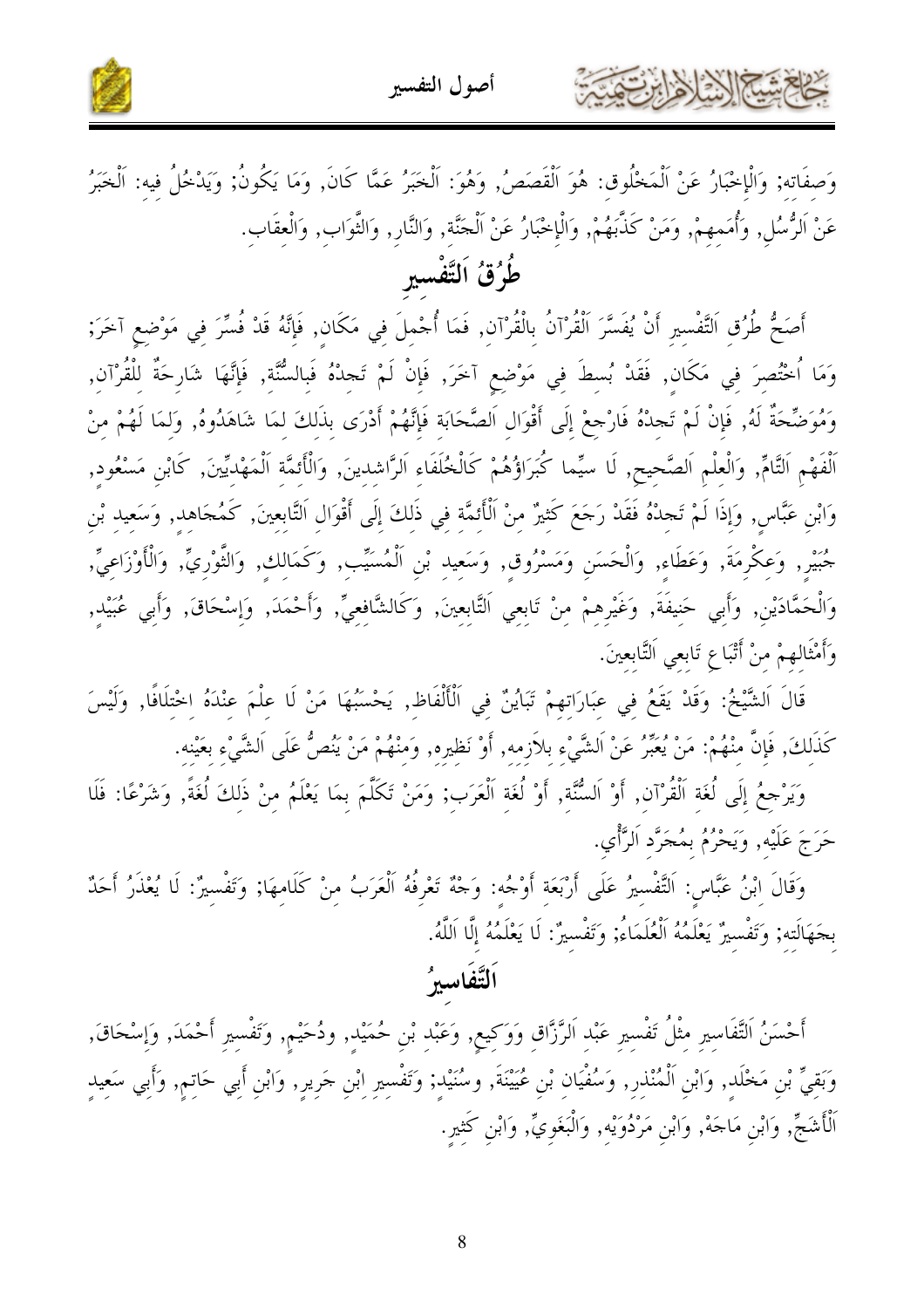كالعمشة الأخلاء بتمة



وَصفَاته; وَالْإِخْبَارُ عَنْ اَلْمَخْلُوق: هُوَ اَلْقَصَصُ, وَهُوَ: اَلْخَبَرُ عَمَّا كَانَ, وَمَا يَكُونُ; وَيَدْخُلُ فيه: اَلْخَبَرُ عَنْ اَلرُّسُلٍ, وَأُمَمِهِمْ, وَمَنْ كَذَّبَهُمْ, وَالْإِخْبَارُ عَنْ اَلْجَنَّةِ, وَالنَّارِ, وَالثَّوَابِ, وَالْعقَابِ. طُرُقُ اَلتَّفْسيرِ

أَصَحُّ طُرُق اَلتَّفْسيرِ أَنْ يُفَسَّرَ اَلْقُرْآنُ بِالْقُرْآنِ, فَمَا أُجْملَ فِي مَكَانِ, فَإِنَّهُ قَدْ فُسِّرَ فِي مَوْضِعِ آخَرَ; وَمَا ٱحْتُصِرَ فِي مَكَانٍ, فَقَدْ بُسِطَ فِي مَوْضِعِ آخَرَ, فَإِنْ لَمْ تَجِدْهُ فَبِالسُّنَّةِ, فَإِنَّهَا شَارِحَةٌ لِلْقُرْآنِ, وَمُوَضِّحَةٌ لَهُ, فَإِنْ لَمْ تَجِدْهُ فَارْجِعْ إِلَى أَقْوَالِ اَلصَّحَابَةِ فَإِنَّهُمْ أَدْرَى بذَلكَ لمَا شَاهَدُوهُ, وَلمَا لَهُمْ مِنْ اَلْفَهْمِ اَلتَّامِّ, وَالْعلْمِ اَلصَّحيح, لَا سيِّما كُبَرَاؤُهُمْ كَالْخُلَفَاء اَلرَّاشدينَ, وَالْأئمَّة اَلْمَهْديّينَ, كَابْن مَسْعُود, وَابْنِ عَبَّاسٍ, وَإِذَا لَمْ تَجِدْهُ فَقَدْ رَجَعَ كَثِيرٌ مِنْ اَلْأَثِمَّة في ذَلكَ إِلَى أَقْوَال اَلتَّابعينَ, كَمُحَاهد, وَسَعيد بْن جُبَيْرِ, وَعِكْرِمَةَ, وَعَطَاءِ, وَالْحَسَنِ وَمَسْرُوقٍ, وَسَعِيد بْنِ اَلْمُسَيِّب, وَكَمَالِك, وَالثَّوْرِيِّ, وَالْأَوْزَاعِيِّ, وَالْحَمَّادَيْنِ, وَأَبِي حَنِيفَةَ, وَغَيْرِهِمْ مِنْ تَابِعِي اَلتَّابِعِينَ, وَكَالشَّافِعِيِّ, وَأَحْمَدَ, وَإِسْحَاقَ, وَأَبِي عُبَيْدِ, وَأَمْثَالهمْ منْ أَتْبَاعِ تَابعي اَلتَّابعينَ.

قَالَ اَلشَّيْخُ: وَقَدْ يَقَعُ فِي عِبَارَاتِهِمْ تَبَايُنٌ فِي اَلْأَلْفَاظِ, يَحْسَبُهَا مَنْ لَا علْمَ عنْدَهُ اخْتلَافًا, وَلَيْسَ كَذَلكَ, فَإِنَّ منْهُمْ: مَنْ يُعَبِّرُ عَنْ اَلشَّيْء بلاَزِمه, أَوْ نَظيره, وَمنْهُمْ مَنْ يَنُصُّ عَلَى اَلشَّيْء بعَيْنه.

وَيَرْجِعُ إِلَى لُغَةِ اَلْقُرْآنِ, أَوْ اَلسُّنَّة, أَوْ لُغَةِ اَلْعَرَب; وَمَنْ تَكَلَّمَ بِمَا يَعْلَمُ مِنْ ذَلِكَ لُغَةً, وَشَرْعًا: فَلَا حَرَجَ عَلَيْه, وَيَحْرُمُ بِمُجَرَّد اَلرَّأْي.

وَقَالَ ابْنُ عَبَّاسٍ: اَلتَّفْسيرُ عَلَى أَرْبَعَةِ أَوْجُهِ: وَجْهُ تَعْرِفُهُ اَلْعَرَبُ مِنْ كَلَامهَا; وَتَفْسيرٌ: لَا يُعْذَرُ أَحَدٌ بجَهَالَته; وَتَفْسيرُ يَعْلَمُهُ اَلْعُلَمَاءُ; وَتَفْسيرُ: لَا يَعْلَمُهُ إِلَّا اَللَّهُ.

### ألتَّفَاسيرُ

أَحْسَنُ اَلتَّفَاسِيرِ مِثْلُ تَفْسِيرِ عَبْدِ اَلرَّزَّاقِ وَوَكِيعٍ, وَعَبْدِ بْنِ حُمَيْدٍ, ودُحَيْمٍ, وَتَفْسِيرِ أَحْمَدَ, وَإِسْحَاقَ, وَبَقيٌّ بْنِ مَخْلَد, وَابْنِ اَلْمُنْذِر, وَسُفْيَان بْنِ عُيَيْنَةَ, وسُنَيْدِ; وَتَفْسِيرِ ابْنِ جَرِيرِ, وَابْنِ أَبِي حَاتِمٍ, وَأَبِي سَعِيدِ ٱلْأَشَجِّ, وَابْنِ مَاحَهْ, وَابْنِ مَرْدُوَيْهِ, وَالْبَغَوِيِّ, وَابْنِ كَثِيرِ.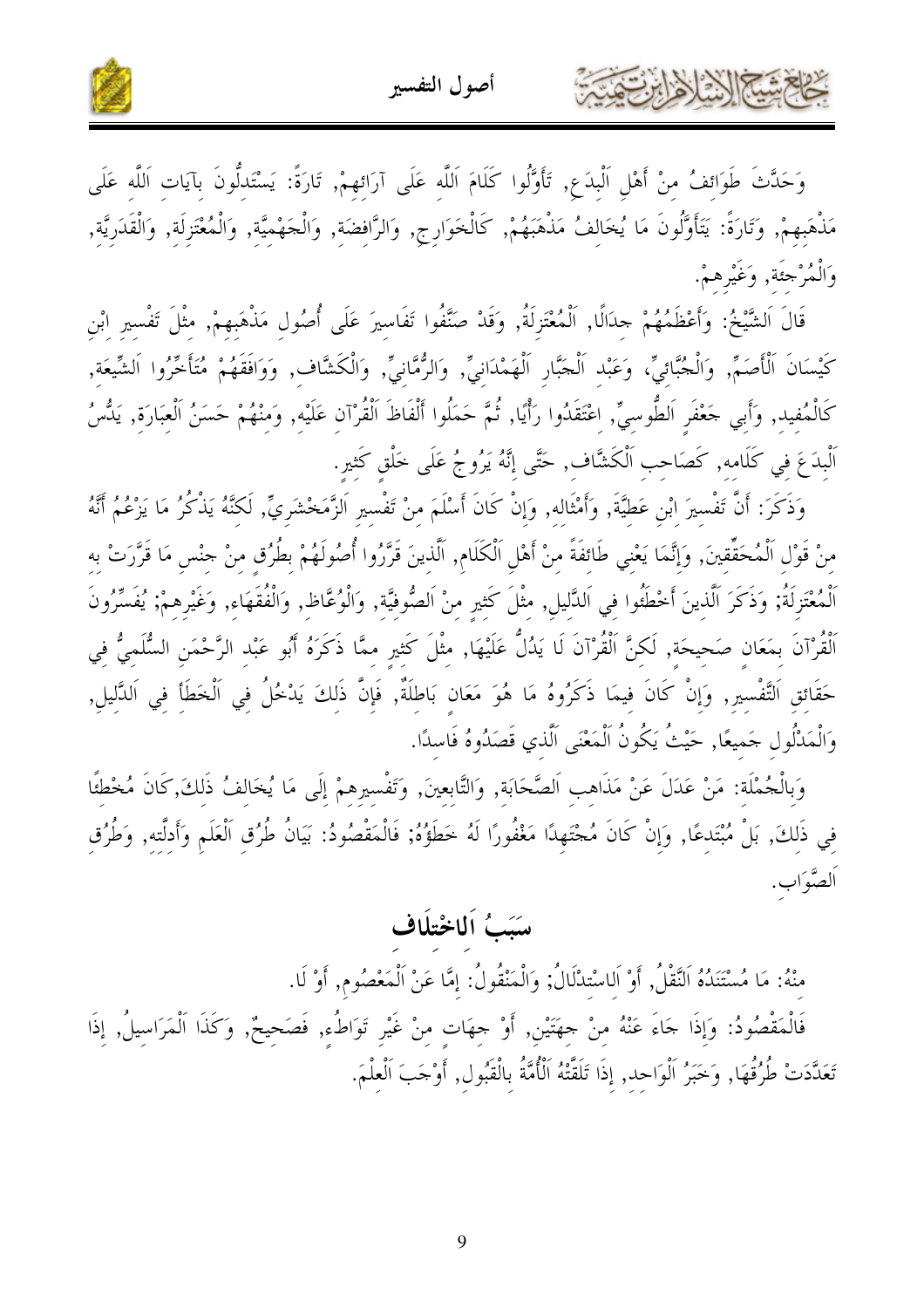٤٤ شيم الذيلا وابرت



وَحَدَّثَ طَوَائِفُ مِنْ أَهْلِ اَلْبِدَعِ, تَأَوَّلُوا كَلَامَ اَللَّهِ عَلَى آرَائِهِمْ, تَارَةً: يَسْتَدلُّونَ بِآيَاتِ اَللَّهِ عَلَى مَذْهَبِهِمْ, وَتَارَةً: يَتَأَوَّلُونَ مَا يُخَالِفُ مَذْهَبَهُمْ, كَالْخَوَارِجِ, وَالرَّافِضَةِ, وَالْخَهْمِيَّةِ, وَالْمُعْتَزِلَةِ, وَالْقَدَرِيَّةِ, وَالْمُرْجَنَة, وَغَيْرِهِمْ.

قَالَ اَلشَّيْخُ: وَأَعْظَمُهُمْ حِدَالًا, اَلْمُعْتَزِلَةُ, وَقَدْ صَنَّفُوا تَفَاسيرَ عَلَى أُصُول مَذْهَبهمْ, مثْلَ تَفْسير ابْن كَيْسَانَ اَلْأَصَمِّ, وَالْجُبَّائِيِّ، وَعَبْدِ اَلْجَبَّارِ اَلْهَمْدَانِيِّ, وَالرُّمَّانِيِّ, وَالْكَشَّافِ, وَوَافَقَهُمْ مُتَأَخَّرُوا اَلشَّيعَة, كَالْمُفيد, وَأَبي حَعْفَر اَلطُّوسيِّ, اعْتَقَدُوا رَأْيًا, ثُمَّ حَمَلُوا أَلْفَاظَ اَلْقُرْآن عَلَيْه, وَمنْهُمْ حَسَنُ اَلْعَبَارَة, يَدُّسُ اَلْبِدَعَ في كَلَامه, كَصَاحب اَلْكَشَّاف, حَتَّى إِنَّهُ يَرُوجُ عَلَى خَلْقٍ كَثيرٍ.

وَذَكَرَ: أَنَّ تَفْسيرَ ابْنِ عَطِيَّةَ, وَأَمْثَالِه, وَإِنْ كَانَ أَسْلَمَ مِنْ تَفْسيرِ اَلزَّمَخْشَرِيٍّ, لَكنَّهُ يَذْكُرُ مَا يَزْعُمُ أَنَّهُ منْ قَوْل اَلْمُحَقِّقينَ, وَإِنَّمَا يَعْني طَائفَةً منْ أَهْل اَلْكَلَام, اَلَّذينَ قَرَّرُوا أُصُولَهُمْ بطُرُق منْ حنْس مَا قَرَّرَتْ به ٱلْمُعْتَزِلَةُ; وَذَكَرَ ٱلَّذِينَ أَحْطَئُوا فِي اَللَّالِيلِ, مثْلَ كَثيرٍ مِنْ اَلصُّوفيَّة, وَالْوُعَّاظِ, وَالْفُقَهَاءِ, وَغَيْرِهِمْ; يُفَسِّرُونَ اَلْقُرْآنَ بِمَعَانِ صَحيحَة, لَكنَّ اَلْقُرْآنَ لَا يَدُلُّ عَلَيْهَا, مثْلَ كَثير ممَّا ذَكَرَهُ أَبُو عَبْد الرَّحْمَنِ السُّلَميُّ في حَقَائق اَلتَّفْسير, وَإِنْ كَانَ فيمَا ذَكَرُوهُ مَا هُوَ مَعَان بَاطلَةٌ, فَإِنَّ ذَلكَ يَدْخُلُ في اَلْخَطَأ في اَلدَّليل, وَالْمَدْلُول حَميعًا, حَيْثُ يَكُونُ اَلْمَعْنَى اَلَّذي قَصَدُوهُ فَاسلًا.

وَبِالْجُمْلَة: مَنْ عَدَلَ عَنْ مَذَاهب اَلصَّحَابَة, وَالتَّابعينَ, وَتَفْسيرهمْ إِلَى مَا يُخَالفُ ذَلكَ,كَانَ مُخْطئًا في ذَلكَ, بَلْ مُبْتَدعًا, وَإِنْ كَانَ مُجْتَهِدًا مَغْفُورًا لَهُ خَطَؤُهُ; فَالْمَقْصُودُ: بَيَانُ طُرُق اَلْعَلَم وَأَدلّته, وَطُرُق اَلصَّوَاب.

### سَبَبُ اَلِمَاخْتِلَاف

منْهُ: مَا مُسْتَنَدُهُ اَلنَّقْلُ, أَوْ اَلِاسْتِدْلَالُ; وَالْمَنْقُولُ: إِمَّا عَنْ اَلْمَعْصُوم, أَوْ لَا.

فَالْمَقْصُودُ: وَإِذَا حَاءَ عَنْهُ مِنْ حِهَتَيْنِ, أَوْ حِهَاتٍ مِنْ غَيْرِ تَوَاطُءِ, فَصَحِيحٌ, وَكَذَا اَلْمَرَاسيلُ, إذَا تَعَلَّدَتْ طُرُقُهَا, وَخَبَرُ اَلْوَاحد, إذَا تَلَقَّتْهُ اَلْأُمَّةُ بِالْقَبُولِ, أَوْجَبَ اَلْعلْمَ.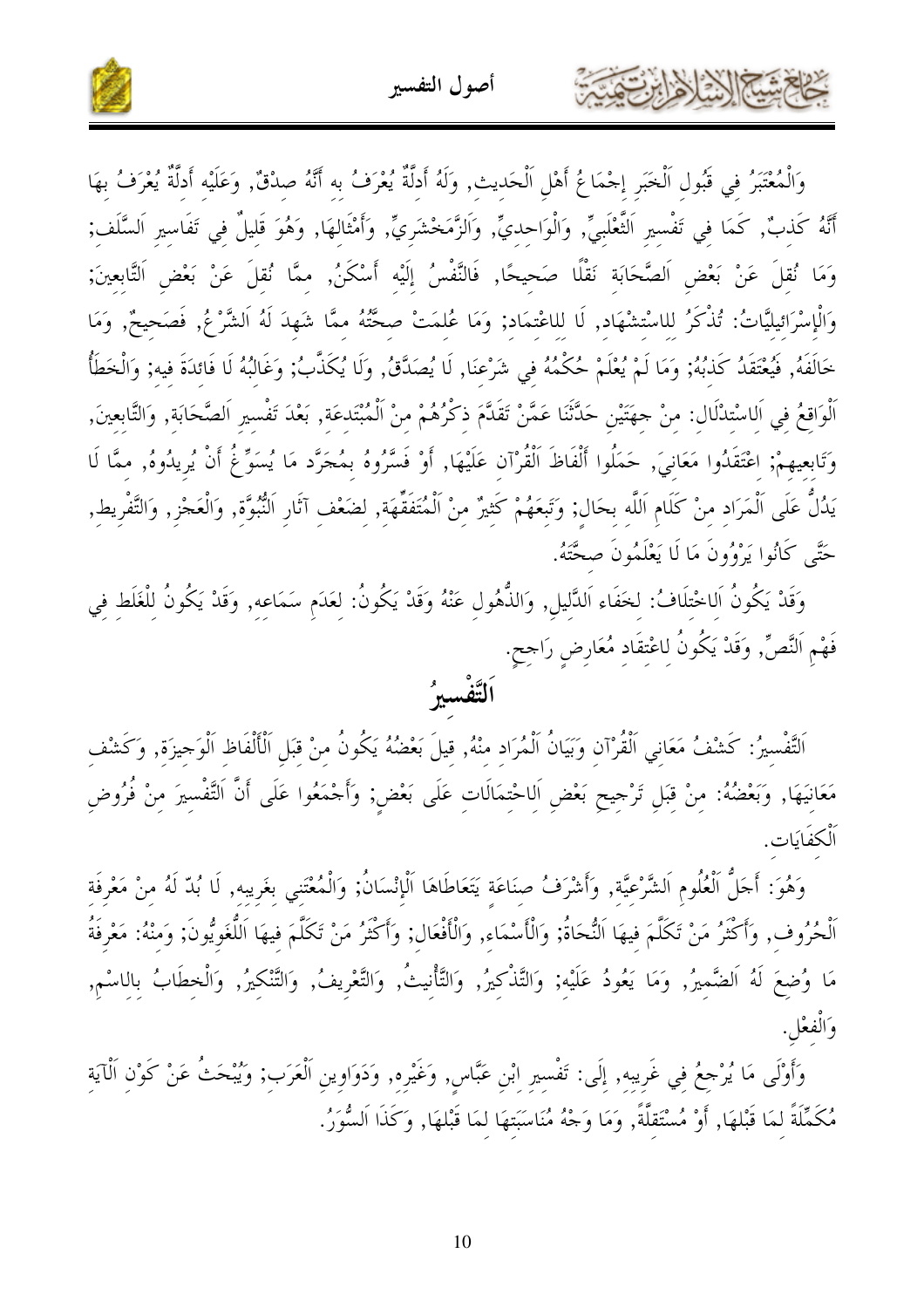يستعلم المحارث



وَالْمُعْتَبَرُ فِي قَبُولِ اَلْخَبَرِ إِحْمَاعُ أَهْلِ اَلْحَدِيثِ, وَلَهُ أَدِلَّةٌ يُعْرَفُ بِهِ أَنَّهُ صِدْقٌ, وَعَلَيْهِ أَدِلَّةٌ يُعْرَفُ بِهَا أَنَّهُ كَذبٌ, كَمَا فِي تَفْسِيرِ اَلتَّعْلَبِيِّ, وَالْوَاحِدِيِّ, وَاَلزَّمَخْشَرِيٍّ, وَأَمْثَالهَا, وَهُوَ قَليلٌ فِي تَفَاسِيرِ اَلسَّلَف; وَمَا نُقلَ عَنْ بَعْضِ اَلصَّحَابَة نَقْلًا صَحيحًا, فَالنَّفْسُ إِلَيْه أَسْكَنُ, ممَّا نُقلَ عَنْ بَعْض اَلتَّابعينَ; وَالْإِسْرَائِيليَّاتُ: تُذْكَرُ للاسْتشْهَاد, لَا للاعْتمَاد; وَمَا عُلمَتْ صحَّتُهُ ممَّا شَهدَ لَهُ اَلشَّرْعُ, فَصَحيحٌ, وَمَا خَالَفَهُ, فَيُعْتَقَدُ كَذَبُهُ; وَمَا لَمْ يُعْلَمْ حُكْمُهُ فِي شَرْعِنَا, لَا يُصَدَّقُ, وَلَا يُكَذَّبُ; وَغَالِبُهُ لَا فَائِدَةَ فيه; وَالْخَطَأُ اَلْوَاقِعُ في اَلاسْتدْلَال: منْ حهَتَيْنِ حَدَّثَنَا عَمَّنْ تَقَدَّمَ ذكْرُهُمْ منْ اَلْمُبْتَدعَة, بَعْدَ تَفْسير اَلصَّحَابَة, وَالتَّابعينَ, وَتَابِعِيهِمْ; اعْتَقَدُوا مَعَانِيَ, حَمَلُوا أَلْفَاظَ اَلْقُرْآن عَلَيْهَا, أَوْ فَسَّرُوهُ بِمُجَرَّد مَا يُسَوِّغُ أَنْ يُرِيدُوهُ, ممَّا لَا يَدُلُّ عَلَى اَلْمَرَادِ مِنْ كَلَامٍ اَللَّهِ بِحَالٍ; وَتَبِعَهُمْ كَثِيرٌ مِنْ اَلْمُتَفَقِّهَةِ, لِضَعْفِ آثَارِ اَلنُّبُوَّةِ, وَالْعَجْزِ, وَالتَّفْرِيط, حَتَّى كَانُوا يَرْوُونَ مَا لَا يَعْلَمُونَ صحَّتَهُ.

وَقَدْ يَكُونُ اَلاخْتلَافُ: لخَفَاء اَلدَّليل, وَالذُّهُول عَنْهُ وَقَدْ يَكُونُ: لِعَدَمِ سَمَاعِهِ, وَقَدْ يَكُونُ لِلْغَلطِ فِي فَهْمِ اَلنَّصِّ, وَقَدْ يَكُونُ لِاعْتِقَادِ مُعَارِضٍ رَاجِحٍ.

# ِ<br>اَلتَّفْسيرُ

اَلتَّفْسِيرُ: كَشْفُ مَعَانِي اَلْقُرْآنِ وَبَيَانُ اَلْمُرَادِ مِنْهُ, قِيلَ بَعْضُهُ يَكُونُ مِنْ قِبَلِ اَلْأَلْفَاظِ اَلْوَجِيزَةِ, وَكَشْفِ مَعَانِيَهَا, وَبَعْضُهُ: مِنْ قِبَلِ تَرْجِيحِ بَعْضِ اَلِاحْتِمَالَاتِ عَلَى بَعْضٍ; وَأَجْمَعُوا عَلَى أَنَّ التَّفْسِيرَ مِنْ فُرُوضِ اَلْكفَايَات.

وَهُوَ: أَجَلُّ اَلْعُلُومِ اَلشَّرْعيَّة, وَأَشْرَفُ صنَاعَة يَتَعَاطَاهَا اَلْإِنْسَانُ; وَالْمُعْتَني بغَريبه, لَا بُدّ لَهُ منْ مَعْرفَة اَلْحُرُوف, وَأَكْثَرُ مَنْ تَكَلَّمَ فيهَا اَلنُّحَاةُ; وَالْأَسْمَاء, وَالْأَفْعَال; وَأَكْثَرُ مَنْ تَكَلَّمَ فيهَا اَللُّغَويُّونَ; وَمنْهُ: مَعْرِفَةُ مَا وُضِعَ لَهُ اَلضَّمِيرُ, وَمَا يَعُودُ عَلَيْهِ; وَالتَّذْكِيرُ, وَالتَّأْنِيتُ, وَالتَّغْرِيفُ, وَالتَّنْكِيرُ, وَالْخِطَابُ بِالِاسْم, وَالْفِعْلِ.

وَأَوْلَى مَا يُرْجِعُ فِي غَرِيبِهِ, إِلَى: تَفْسِيرِ ابْنِ عَبَّاسٍ, وَغَيْرِهِ, وَدَوَاوِينِ اَلْعَرَبِ; وَيُبْحَثُ عَنْ كَوْن اَلْآيَة مُكَمِّلَةً لِمَا قَبْلهَا, أَوْ مُسْتَقلَّةً, وَمَا وَجْهُ مُنَاسَبَتهَا لِمَا قَبْلهَا, وَكَذَا اَلسُّوَرُ.